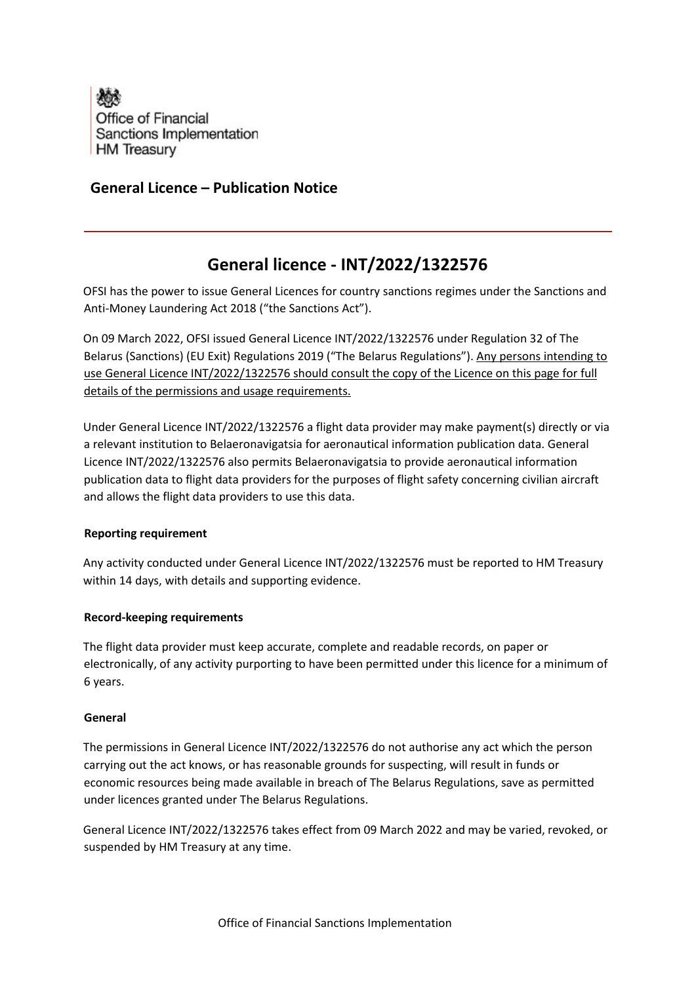

## **General Licence – Publication Notice**

# **General licence - INT/2022/1322576**

OFSI has the power to issue General Licences for country sanctions regimes under the Sanctions and Anti-Money Laundering Act 2018 ("the Sanctions Act").

On 09 March 2022, OFSI issued General Licence INT/2022/1322576 under Regulation 32 of The Belarus (Sanctions) (EU Exit) Regulations 2019 ("The Belarus Regulations"). Any persons intending to use General Licence INT/2022/1322576 should consult the copy of the Licence on this page for full details of the permissions and usage requirements.

Under General Licence INT/2022/1322576 a flight data provider may make payment(s) directly or via a relevant institution to Belaeronavigatsia for aeronautical information publication data. General Licence INT/2022/1322576 also permits Belaeronavigatsia to provide aeronautical information publication data to flight data providers for the purposes of flight safety concerning civilian aircraft and allows the flight data providers to use this data.

### **Reporting requirement**

Any activity conducted under General Licence INT/2022/1322576 must be reported to HM Treasury within 14 days, with details and supporting evidence.

### **Record-keeping requirements**

The flight data provider must keep accurate, complete and readable records, on paper or electronically, of any activity purporting to have been permitted under this licence for a minimum of 6 years.

#### **General**

The permissions in General Licence INT/2022/1322576 do not authorise any act which the person carrying out the act knows, or has reasonable grounds for suspecting, will result in funds or economic resources being made available in breach of The Belarus Regulations, save as permitted under licences granted under The Belarus Regulations.

General Licence INT/2022/1322576 takes effect from 09 March 2022 and may be varied, revoked, or suspended by HM Treasury at any time.